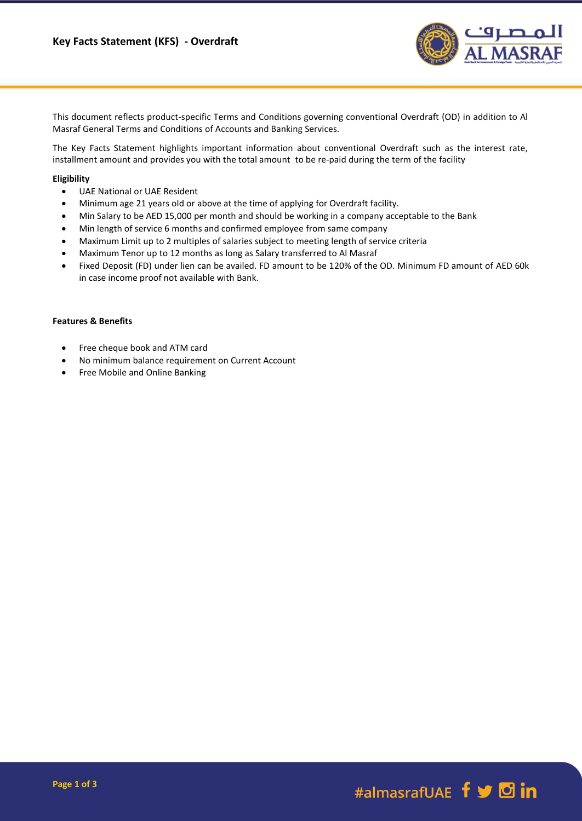

This document reflects product-specific Terms and Conditions governing conventional Overdraft (OD) in addition to Al Masraf General Terms and Conditions of Accounts and Banking Services.

The Key Facts Statement highlights important information about conventional Overdraft such as the interest rate, installment amount and provides you with the total amount to be re-paid during the term of the facility

### **Eligibility**

- UAE National or UAE Resident
- Minimum age 21 years old or above at the time of applying for Overdraft facility.
- Min Salary to be AED 15,000 per month and should be working in a company acceptable to the Bank
- Min length of service 6 months and confirmed employee from same company
- Maximum Limit up to 2 multiples of salaries subject to meeting length of service criteria
- Maximum Tenor up to 12 months as long as Salary transferred to Al Masraf
- Fixed Deposit (FD) under lien can be availed. FD amount to be 120% of the OD. Minimum FD amount of AED 60k in case income proof not available with Bank.

### **Features & Benefits**

- Free cheque book and ATM card
- No minimum balance requirement on Current Account
- Free Mobile and Online Banking

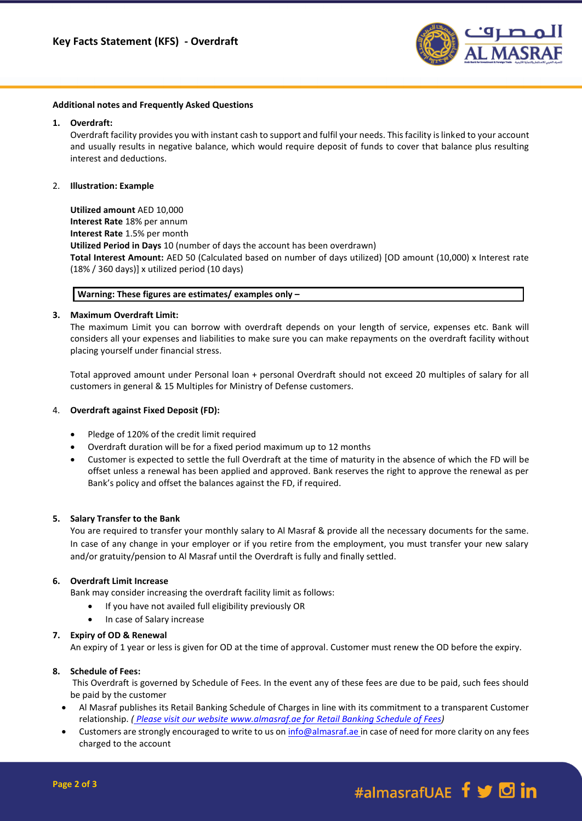

#### **Additional notes and Frequently Asked Questions**

### **1. Overdraft:**

Overdraft facility provides you with instant cash to support and fulfil your needs. This facility is linked to your account and usually results in negative balance, which would require deposit of funds to cover that balance plus resulting interest and deductions.

### 2. **Illustration: Example**

**Utilized amount** AED 10,000 **Interest Rate** 18% per annum **Interest Rate** 1.5% per month **Utilized Period in Days** 10 (number of days the account has been overdrawn) **Total Interest Amount:** AED 50 (Calculated based on number of days utilized) [OD amount (10,000) x Interest rate (18% / 360 days)] x utilized period (10 days)

### **Warning: These figures are estimates/ examples only –**

## **3. Maximum Overdraft Limit:**

The maximum Limit you can borrow with overdraft depends on your length of service, expenses etc. Bank will considers all your expenses and liabilities to make sure you can make repayments on the overdraft facility without placing yourself under financial stress.

Total approved amount under Personal loan + personal Overdraft should not exceed 20 multiples of salary for all customers in general & 15 Multiples for Ministry of Defense customers.

## 4. **Overdraft against Fixed Deposit (FD):**

- Pledge of 120% of the credit limit required
- Overdraft duration will be for a fixed period maximum up to 12 months
- Customer is expected to settle the full Overdraft at the time of maturity in the absence of which the FD will be offset unless a renewal has been applied and approved. Bank reserves the right to approve the renewal as per Bank's policy and offset the balances against the FD, if required.

## **5. Salary Transfer to the Bank**

You are required to transfer your monthly salary to Al Masraf & provide all the necessary documents for the same. In case of any change in your employer or if you retire from the employment, you must transfer your new salary and/or gratuity/pension to Al Masraf until the Overdraft is fully and finally settled.

## **6. Overdraft Limit Increase**

Bank may consider increasing the overdraft facility limit as follows:

- If you have not availed full eligibility previously OR
- In case of Salary increase

#### **7. Expiry of OD & Renewal**

An expiry of 1 year or less is given for OD at the time of approval. Customer must renew the OD before the expiry.

## **8. Schedule of Fees:**

This Overdraft is governed by Schedule of Fees. In the event any of these fees are due to be paid, such fees should be paid by the customer

- Al Masraf publishes its Retail Banking Schedule of Charges in line with its commitment to a transparent Customer relationship. *( Please visit our website www.almasraf.ae for Retail Banking Schedule of Fees)*
- Customers are strongly encouraged to write to us on [info@almasraf.ae](mailto:info@almasraf.ae) in case of need for more clarity on any fees charged to the account